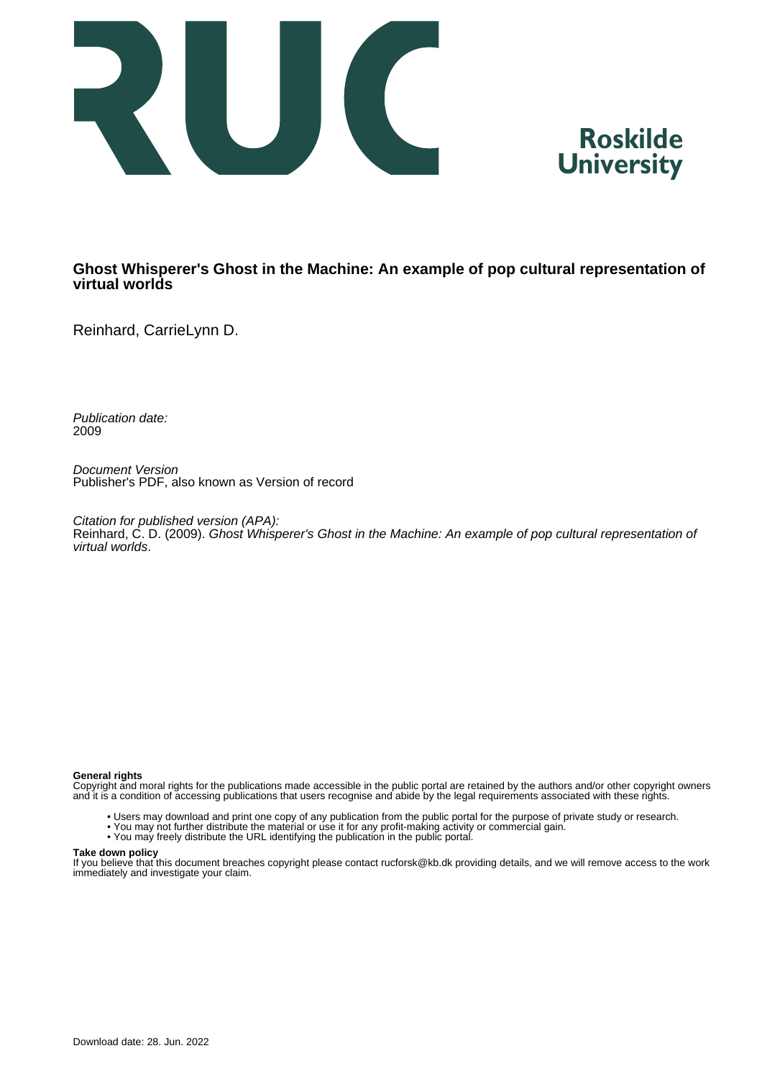



## **Ghost Whisperer's Ghost in the Machine: An example of pop cultural representation of virtual worlds**

Reinhard, CarrieLynn D.

Publication date: 2009

Document Version Publisher's PDF, also known as Version of record

Citation for published version (APA): Reinhard, C. D. (2009). Ghost Whisperer's Ghost in the Machine: An example of pop cultural representation of virtual worlds.

## **General rights**

Copyright and moral rights for the publications made accessible in the public portal are retained by the authors and/or other copyright owners and it is a condition of accessing publications that users recognise and abide by the legal requirements associated with these rights.

- Users may download and print one copy of any publication from the public portal for the purpose of private study or research.
- You may not further distribute the material or use it for any profit-making activity or commercial gain.
- You may freely distribute the URL identifying the publication in the public portal.

## **Take down policy**

If you believe that this document breaches copyright please contact rucforsk@kb.dk providing details, and we will remove access to the work immediately and investigate your claim.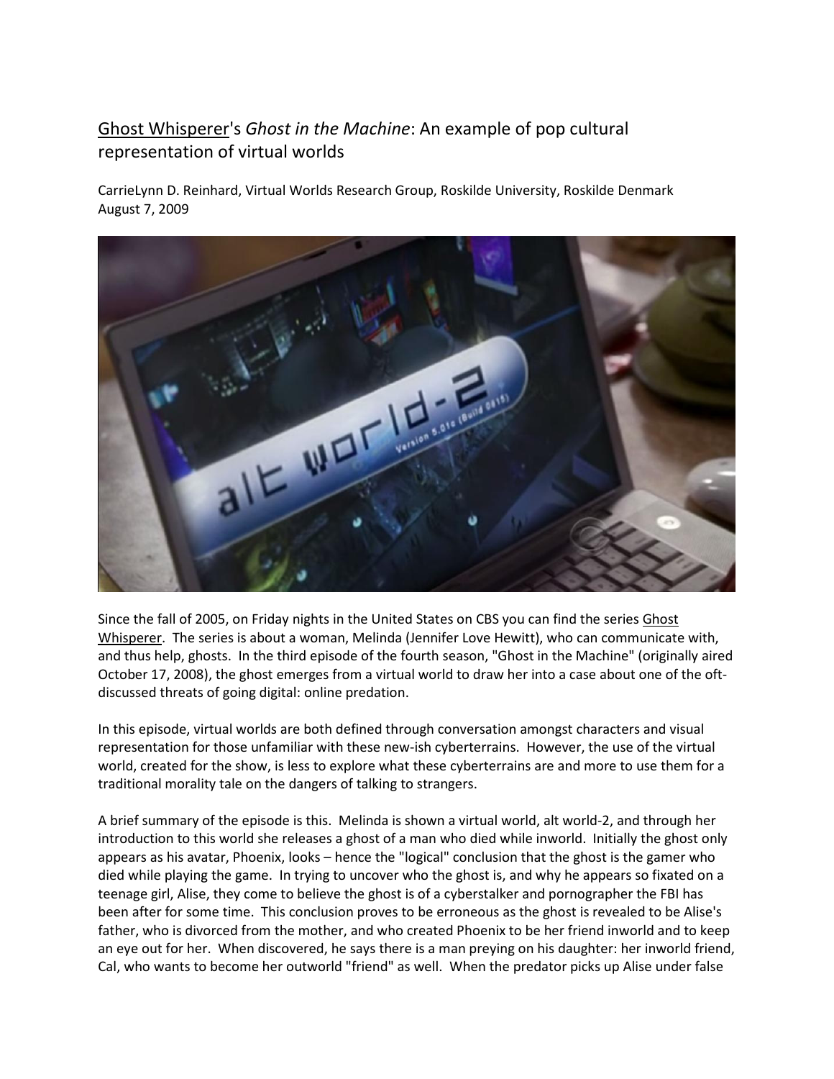## Ghost Whisperer's Ghost in the Machine: An example of pop cultural representation of virtual worlds

CarrieLynn D. Reinhard, Virtual Worlds Research Group, Roskilde University, Roskilde Denmark August 7, 2009



Since the fall of 2005, on Friday nights in the United States on CBS you can find the series Ghost Whisperer. The series is about a woman, Melinda (Jennifer Love Hewitt), who can communicate with, and thus help, ghosts. In the third episode of the fourth season, "Ghost in the Machine" (originally aired October 17, 2008), the ghost emerges from a virtual world to draw her into a case about one of the oftdiscussed threats of going digital: online predation.

In this episode, virtual worlds are both defined through conversation amongst characters and visual representation for those unfamiliar with these new-ish cyberterrains. However, the use of the virtual world, created for the show, is less to explore what these cyberterrains are and more to use them for a traditional morality tale on the dangers of talking to strangers.

A brief summary of the episode is this. Melinda is shown a virtual world, alt world-2, and through her introduction to this world she releases a ghost of a man who died while inworld. Initially the ghost only appears as his avatar, Phoenix, looks – hence the "logical" conclusion that the ghost is the gamer who died while playing the game. In trying to uncover who the ghost is, and why he appears so fixated on a teenage girl, Alise, they come to believe the ghost is of a cyberstalker and pornographer the FBI has been after for some time. This conclusion proves to be erroneous as the ghost is revealed to be Alise's father, who is divorced from the mother, and who created Phoenix to be her friend inworld and to keep an eye out for her. When discovered, he says there is a man preying on his daughter: her inworld friend, Cal, who wants to become her outworld "friend" as well. When the predator picks up Alise under false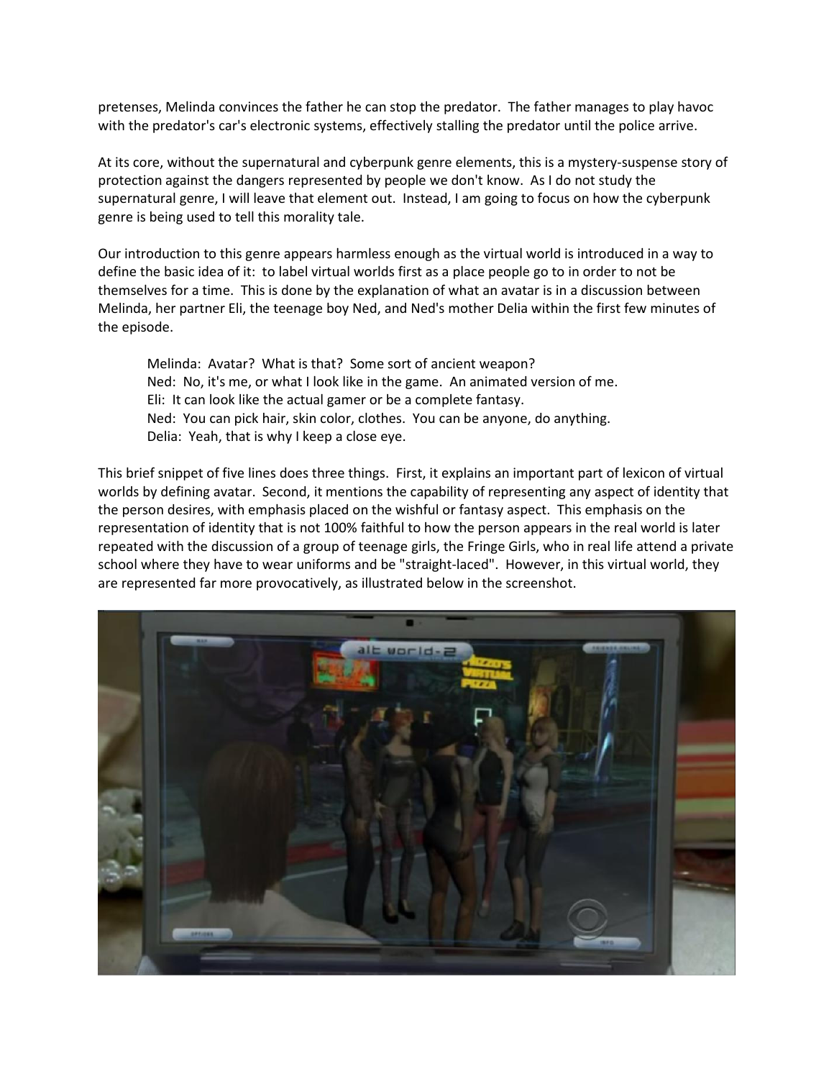pretenses, Melinda convinces the father he can stop the predator. The father manages to play havoc with the predator's car's electronic systems, effectively stalling the predator until the police arrive.

At its core, without the supernatural and cyberpunk genre elements, this is a mystery-suspense story of protection against the dangers represented by people we don't know. As I do not study the supernatural genre, I will leave that element out. Instead, I am going to focus on how the cyberpunk genre is being used to tell this morality tale.

Our introduction to this genre appears harmless enough as the virtual world is introduced in a way to define the basic idea of it: to label virtual worlds first as a place people go to in order to not be themselves for a time. This is done by the explanation of what an avatar is in a discussion between Melinda, her partner Eli, the teenage boy Ned, and Ned's mother Delia within the first few minutes of the episode.

Melinda: Avatar? What is that? Some sort of ancient weapon? Ned: No, it's me, or what I look like in the game. An animated version of me. Eli: It can look like the actual gamer or be a complete fantasy. Ned: You can pick hair, skin color, clothes. You can be anyone, do anything. Delia: Yeah, that is why I keep a close eye.

This brief snippet of five lines does three things. First, it explains an important part of lexicon of virtual worlds by defining avatar. Second, it mentions the capability of representing any aspect of identity that the person desires, with emphasis placed on the wishful or fantasy aspect. This emphasis on the representation of identity that is not 100% faithful to how the person appears in the real world is later repeated with the discussion of a group of teenage girls, the Fringe Girls, who in real life attend a private school where they have to wear uniforms and be "straight-laced". However, in this virtual world, they are represented far more provocatively, as illustrated below in the screenshot.

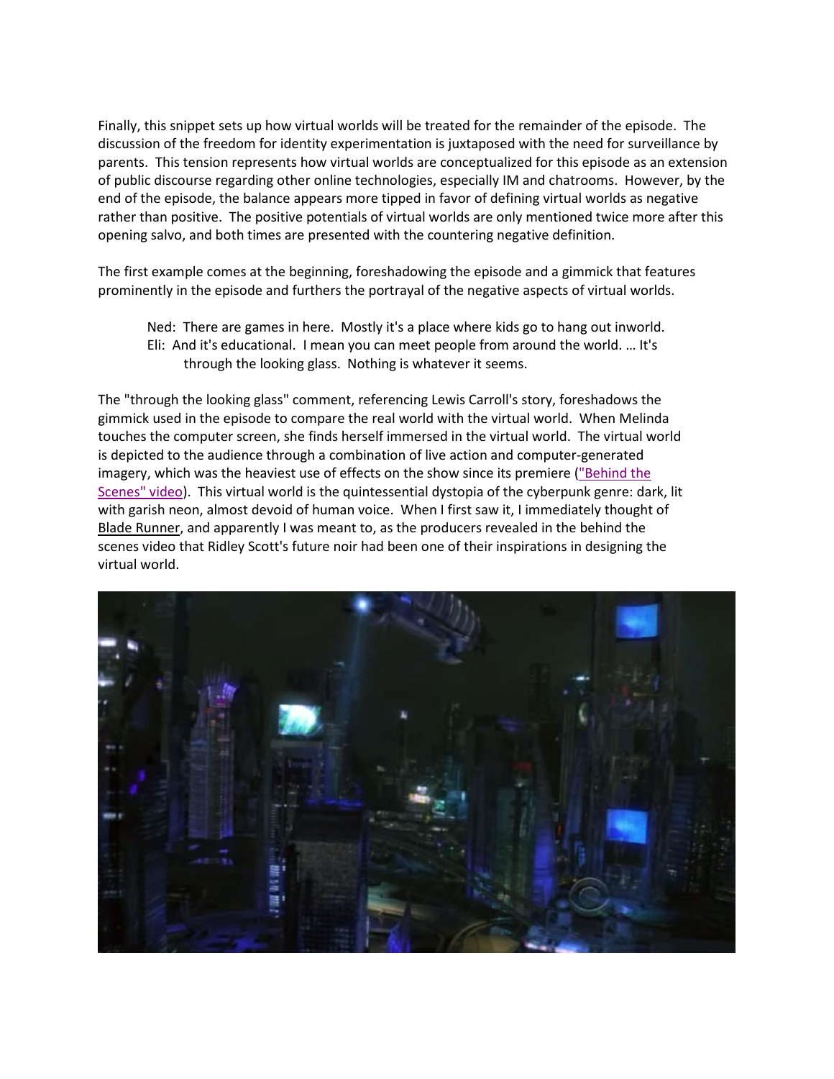Finally, this snippet sets up how virtual worlds will be treated for the remainder of the episode. The discussion of the freedom for identity experimentation is juxtaposed with the need for surveillance by parents. This tension represents how virtual worlds are conceptualized for this episode as an extension of public discourse regarding other online technologies, especially IM and chatrooms. However, by the end of the episode, the balance appears more tipped in favor of defining virtual worlds as negative rather than positive. The positive potentials of virtual worlds are only mentioned twice more after this opening salvo, and both times are presented with the countering negative definition.

The first example comes at the beginning, foreshadowing the episode and a gimmick that features prominently in the episode and furthers the portrayal of the negative aspects of virtual worlds.

Ned: There are games in here. Mostly it's a place where kids go to hang out inworld. Eli: And it's educational. I mean you can meet people from around the world. … It's through the looking glass. Nothing is whatever it seems.

The "through the looking glass" comment, referencing Lewis Carroll's story, foreshadows the gimmick used in the episode to compare the real world with the virtual world. When Melinda touches the computer screen, she finds herself immersed in the virtual world. The virtual world is depicted to the audience through a combination of live action and computer-generated imagery, which was the heaviest use of effects on the show since its premiere ("Behind the Scenes" video). This virtual world is the quintessential dystopia of the cyberpunk genre: dark, lit with garish neon, almost devoid of human voice. When I first saw it, I immediately thought of Blade Runner, and apparently I was meant to, as the producers revealed in the behind the scenes video that Ridley Scott's future noir had been one of their inspirations in designing the virtual world.

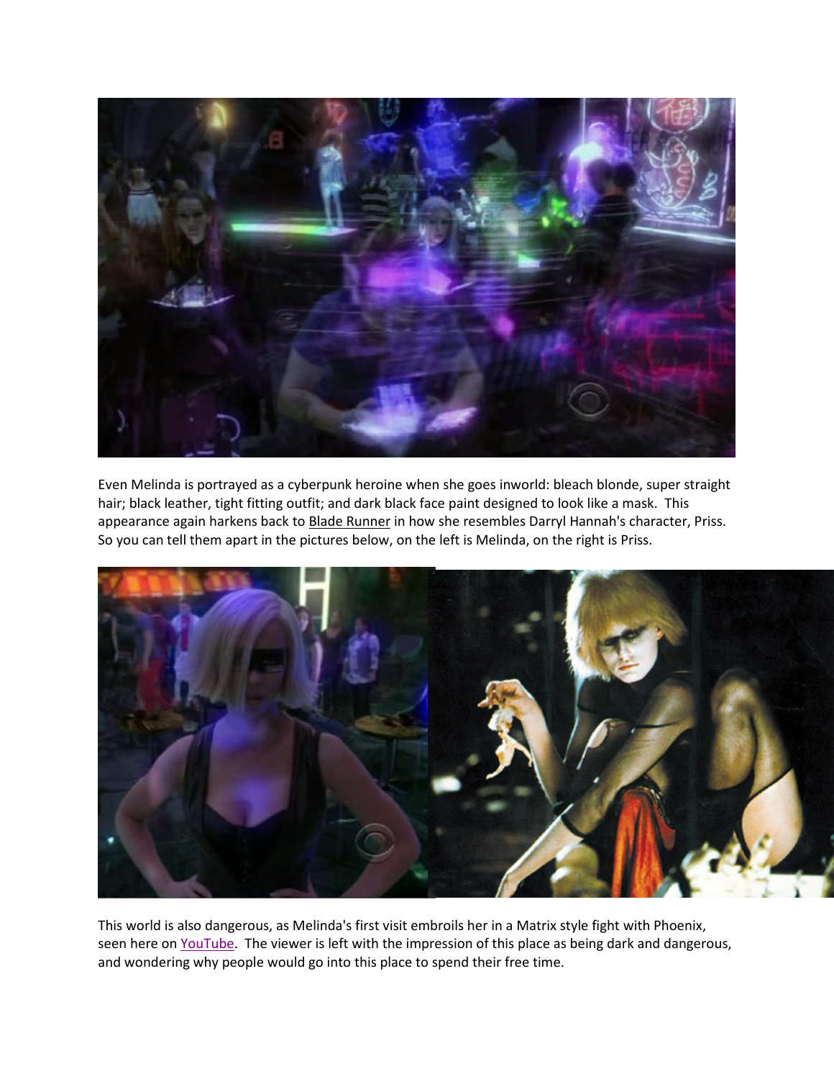

Even Melinda is portrayed as a cyberpunk heroine when she goes inworld: bleach blonde, super straight hair; black leather, tight fitting outfit; and dark black face paint designed to look like a mask. This appearance again harkens back to Blade Runner in how she resembles Darryl Hannah's character, Priss. So you can tell them apart in the pictures below, on the left is Melinda, on the right is Priss.



This world is also dangerous, as Melinda's first visit embroils her in a Matrix style fight with Phoenix, seen here on YouTube. The viewer is left with the impression of this place as being dark and dangerous, and wondering why people would go into this place to spend their free time.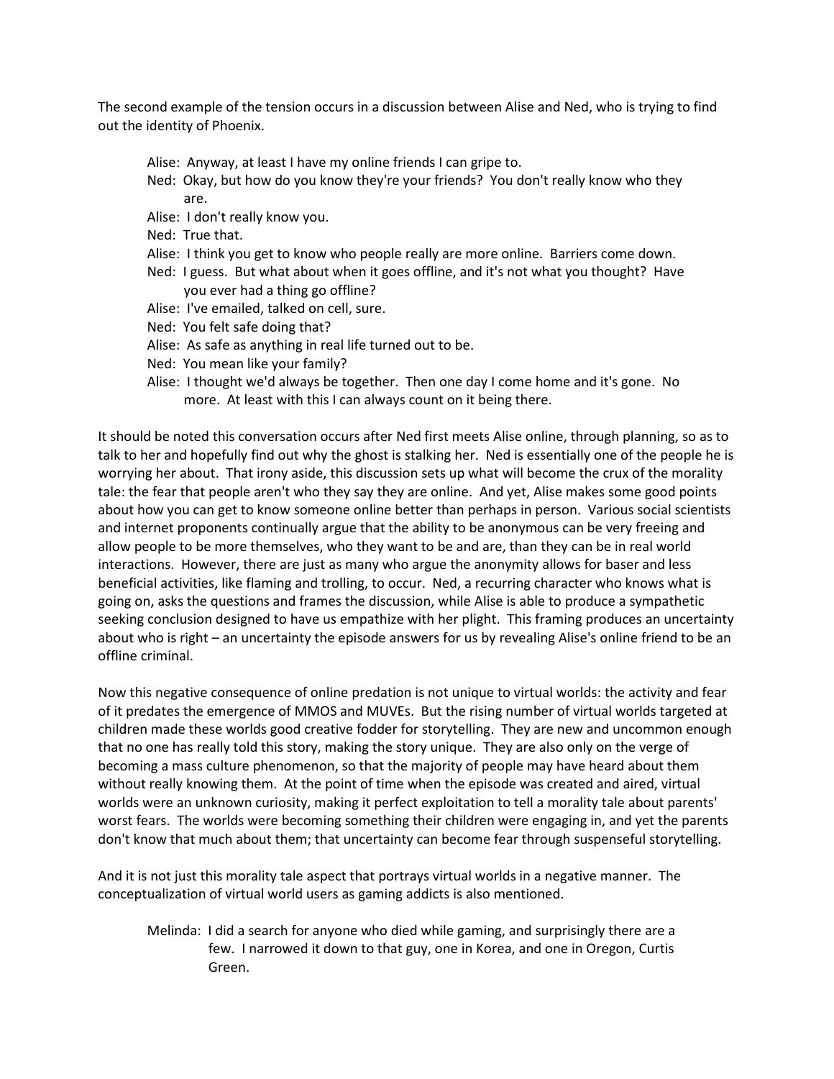The second example of the tension occurs in a discussion between Alise and Ned, who is trying to find out the identity of Phoenix.

- Alise: Anyway, at least I have my online friends I can gripe to.
- Ned: Okay, but how do you know they're your friends? You don't really know who they are.
- Alise: I don't really know you.
- Ned: True that.
- Alise: I think you get to know who people really are more online. Barriers come down.
- Ned: I guess. But what about when it goes offline, and it's not what you thought? Have you ever had a thing go offline?
- Alise: I've emailed, talked on cell, sure.
- Ned: You felt safe doing that?
- Alise: As safe as anything in real life turned out to be.
- Ned: You mean like your family?
- Alise: I thought we'd always be together. Then one day I come home and it's gone. No more. At least with this I can always count on it being there.

It should be noted this conversation occurs after Ned first meets Alise online, through planning, so as to talk to her and hopefully find out why the ghost is stalking her. Ned is essentially one of the people he is worrying her about. That irony aside, this discussion sets up what will become the crux of the morality tale: the fear that people aren't who they say they are online. And yet, Alise makes some good points about how you can get to know someone online better than perhaps in person. Various social scientists and internet proponents continually argue that the ability to be anonymous can be very freeing and allow people to be more themselves, who they want to be and are, than they can be in real world interactions. However, there are just as many who argue the anonymity allows for baser and less beneficial activities, like flaming and trolling, to occur. Ned, a recurring character who knows what is going on, asks the questions and frames the discussion, while Alise is able to produce a sympathetic seeking conclusion designed to have us empathize with her plight. This framing produces an uncertainty about who is right – an uncertainty the episode answers for us by revealing Alise's online friend to be an offline criminal.

Now this negative consequence of online predation is not unique to virtual worlds: the activity and fear of it predates the emergence of MMOS and MUVEs. But the rising number of virtual worlds targeted at children made these worlds good creative fodder for storytelling. They are new and uncommon enough that no one has really told this story, making the story unique. They are also only on the verge of becoming a mass culture phenomenon, so that the majority of people may have heard about them without really knowing them. At the point of time when the episode was created and aired, virtual worlds were an unknown curiosity, making it perfect exploitation to tell a morality tale about parents' worst fears. The worlds were becoming something their children were engaging in, and yet the parents don't know that much about them; that uncertainty can become fear through suspenseful storytelling.

And it is not just this morality tale aspect that portrays virtual worlds in a negative manner. The conceptualization of virtual world users as gaming addicts is also mentioned.

Melinda: I did a search for anyone who died while gaming, and surprisingly there are a few. I narrowed it down to that guy, one in Korea, and one in Oregon, Curtis Green.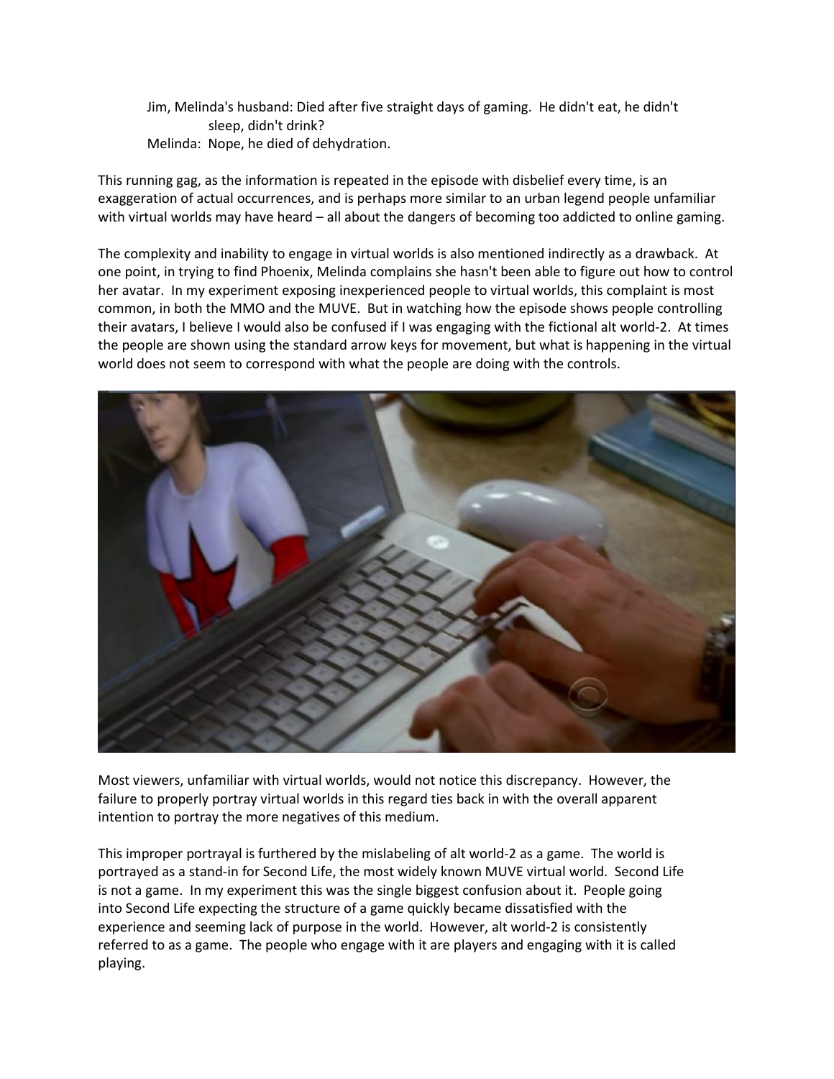Jim, Melinda's husband: Died after five straight days of gaming. He didn't eat, he didn't sleep, didn't drink? Melinda: Nope, he died of dehydration.

This running gag, as the information is repeated in the episode with disbelief every time, is an exaggeration of actual occurrences, and is perhaps more similar to an urban legend people unfamiliar with virtual worlds may have heard – all about the dangers of becoming too addicted to online gaming.

The complexity and inability to engage in virtual worlds is also mentioned indirectly as a drawback. At one point, in trying to find Phoenix, Melinda complains she hasn't been able to figure out how to control her avatar. In my experiment exposing inexperienced people to virtual worlds, this complaint is most common, in both the MMO and the MUVE. But in watching how the episode shows people controlling their avatars, I believe I would also be confused if I was engaging with the fictional alt world-2. At times the people are shown using the standard arrow keys for movement, but what is happening in the virtual world does not seem to correspond with what the people are doing with the controls.



Most viewers, unfamiliar with virtual worlds, would not notice this discrepancy. However, the failure to properly portray virtual worlds in this regard ties back in with the overall apparent intention to portray the more negatives of this medium.

This improper portrayal is furthered by the mislabeling of alt world-2 as a game. The world is portrayed as a stand-in for Second Life, the most widely known MUVE virtual world. Second Life is not a game. In my experiment this was the single biggest confusion about it. People going into Second Life expecting the structure of a game quickly became dissatisfied with the experience and seeming lack of purpose in the world. However, alt world-2 is consistently referred to as a game. The people who engage with it are players and engaging with it is called playing.